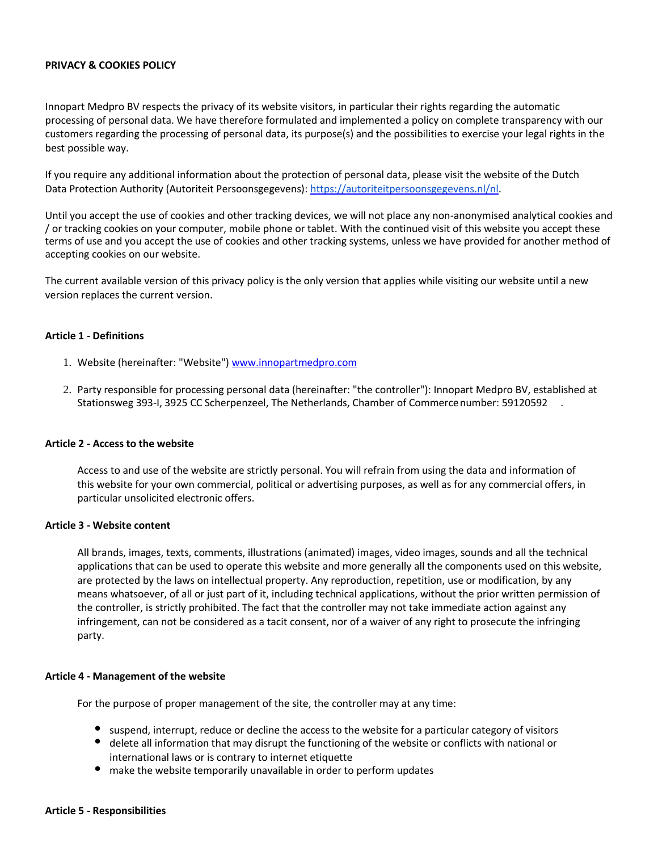## **PRIVACY & COOKIES POLICY**

Innopart Medpro BV respects the privacy of its website visitors, in particular their rights regarding the automatic processing of personal data. We have therefore formulated and implemented a policy on complete transparency with our customers regarding the processing of personal data, its purpose(s) and the possibilities to exercise your legal rights in the best possible way.

If you require any additional information about the protection of personal data, please visit the website of the Dutch Data Protection Authority (Autoriteit Persoonsgegevens): [https://autoriteitpersoonsgegevens.nl/nl.](https://autoriteitpersoonsgegevens.nl/nl)

Until you accept the use of cookies and other tracking devices, we will not place any non-anonymised analytical cookies and / or tracking cookies on your computer, mobile phone or tablet. With the continued visit of this website you accept these terms of use and you accept the use of cookies and other tracking systems, unless we have provided for another method of accepting cookies on our website.

The current available version of this privacy policy is the only version that applies while visiting our website until a new version replaces the current version.

## **Article 1 - Definitions**

- 1. Website (hereinafter: "Website"[\) www.innopartmedpro.com](http://www.innopartmedpro.com/)
- 2. Party responsible for processing personal data (hereinafter: "the controller"): Innopart Medpro BV, established at Stationsweg 393-I, 3925 CC Scherpenzeel, The Netherlands, Chamber of Commercenumber: 59120592 .

#### **Article 2 - Access to the website**

Access to and use of the website are strictly personal. You will refrain from using the data and information of this website for your own commercial, political or advertising purposes, as well as for any commercial offers, in particular unsolicited electronic offers.

### **Article 3 - Website content**

All brands, images, texts, comments, illustrations (animated) images, video images, sounds and all the technical applications that can be used to operate this website and more generally all the components used on this website, are protected by the laws on intellectual property. Any reproduction, repetition, use or modification, by any means whatsoever, of all or just part of it, including technical applications, without the prior written permission of the controller, is strictly prohibited. The fact that the controller may not take immediate action against any infringement, can not be considered as a tacit consent, nor of a waiver of any right to prosecute the infringing party.

#### **Article 4 - Management of the website**

For the purpose of proper management of the site, the controller may at any time:

- suspend, interrupt, reduce or decline the access to the website for a particular category of visitors
- delete all information that may disrupt the functioning of the website or conflicts with national or international laws or is contrary to internet etiquette
- make the website temporarily unavailable in order to perform updates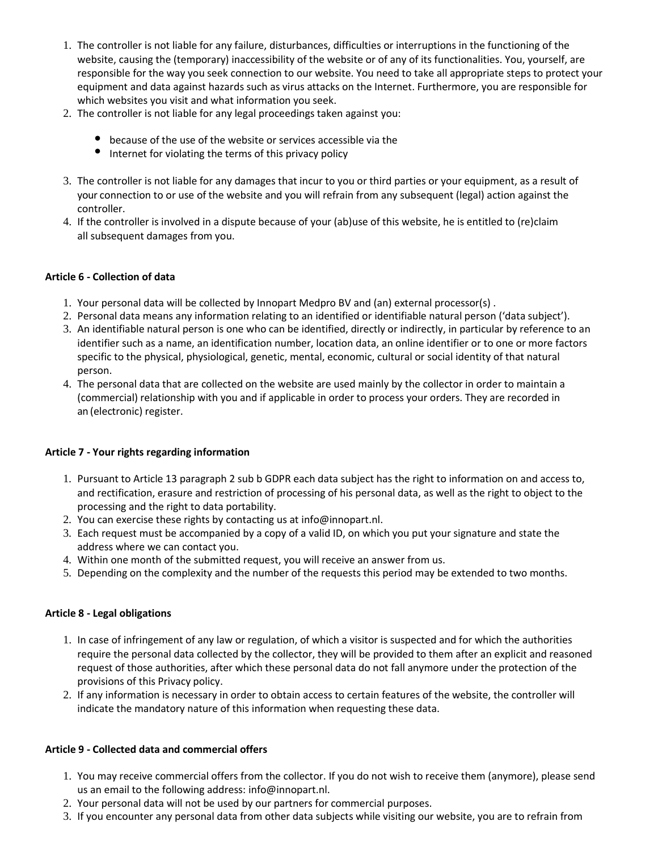- 1. The controller is not liable for any failure, disturbances, difficulties or interruptions in the functioning of the website, causing the (temporary) inaccessibility of the website or of any of its functionalities. You, yourself, are responsible for the way you seek connection to our website. You need to take all appropriate steps to protect your equipment and data against hazards such as virus attacks on the Internet. Furthermore, you are responsible for which websites you visit and what information you seek.
- 2. The controller is not liable for any legal proceedings taken against you:
	- because of the use of the website or services accessible via the
	- Internet for violating the terms of this privacy policy
- 3. The controller is not liable for any damages that incur to you or third parties or your equipment, as a result of your connection to or use of the website and you will refrain from any subsequent (legal) action against the controller.
- 4. If the controller is involved in a dispute because of your (ab)use of this website, he is entitled to (re)claim all subsequent damages from you.

# **Article 6 - Collection of data**

- 1. Your personal data will be collected by Innopart Medpro BV and (an) external processor(s) .
- 2. Personal data means any information relating to an identified or identifiable natural person ('data subject').
- 3. An identifiable natural person is one who can be identified, directly or indirectly, in particular by reference to an identifier such as a name, an identification number, location data, an online identifier or to one or more factors specific to the physical, physiological, genetic, mental, economic, cultural or social identity of that natural person.
- 4. The personal data that are collected on the website are used mainly by the collector in order to maintain a (commercial) relationship with you and if applicable in order to process your orders. They are recorded in an (electronic) register.

# **Article 7 - Your rights regarding information**

- 1. Pursuant to Article 13 paragraph 2 sub b GDPR each data subject has the right to information on and access to, and rectification, erasure and restriction of processing of his personal data, as well as the right to object to the processing and the right to data portability.
- 2. You can exercise these rights by contacting us at info@innopart.nl.
- 3. Each request must be accompanied by a copy of a valid ID, on which you put your signature and state the address where we can contact you.
- 4. Within one month of the submitted request, you will receive an answer from us.
- 5. Depending on the complexity and the number of the requests this period may be extended to two months.

# **Article 8 - Legal obligations**

- 1. In case of infringement of any law or regulation, of which a visitor is suspected and for which the authorities require the personal data collected by the collector, they will be provided to them after an explicit and reasoned request of those authorities, after which these personal data do not fall anymore under the protection of the provisions of this Privacy policy.
- 2. If any information is necessary in order to obtain access to certain features of the website, the controller will indicate the mandatory nature of this information when requesting these data.

# **Article 9 - Collected data and commercial offers**

- 1. You may receive commercial offers from the collector. If you do not wish to receive them (anymore), please send us an email to the following address: info@innopart.nl.
- 2. Your personal data will not be used by our partners for commercial purposes.
- 3. If you encounter any personal data from other data subjects while visiting our website, you are to refrain from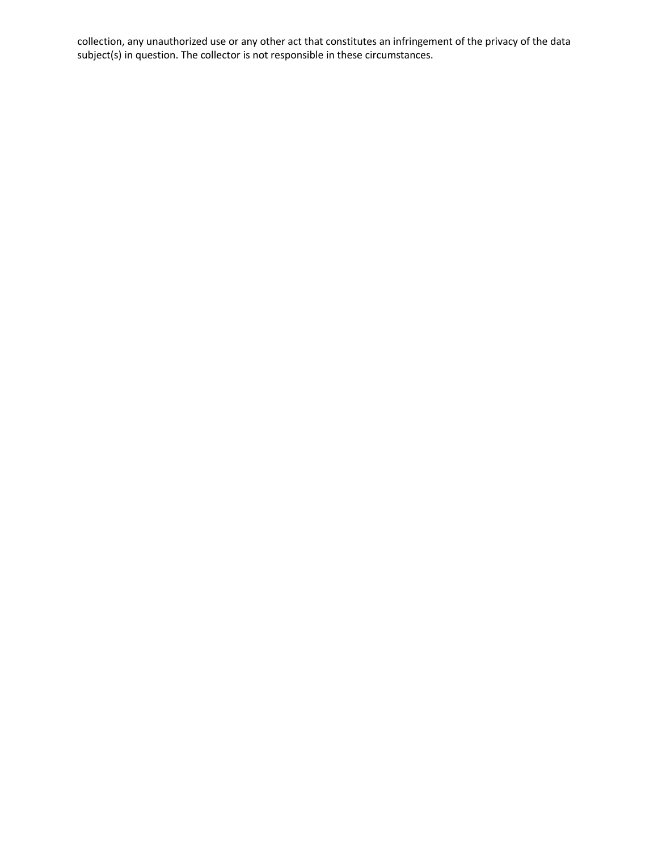collection, any unauthorized use or any other act that constitutes an infringement of the privacy of the data subject(s) in question. The collector is not responsible in these circumstances.